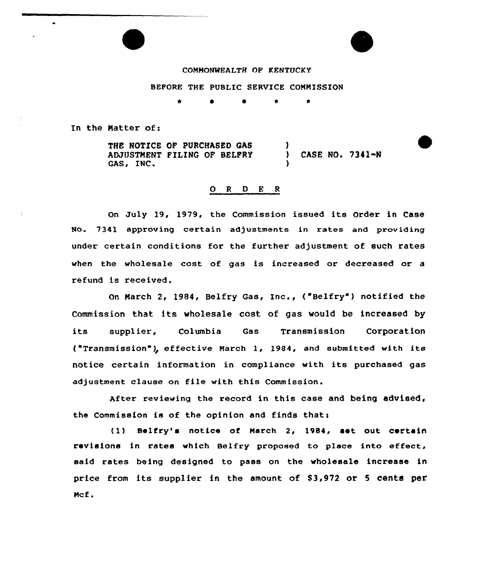## COMMONWEALTH OF KENTUCKY

## BEPORE THE PUBLIC SERVICE COMMISSION

In the Matter of:

THE NOTICE OF PURCHASED GAS ADJUSTMENT FILING OF BELFRy GAS, INC. ) ) CASE NO. 7341-N )

# 0 <sup>R</sup> <sup>D</sup> <sup>E</sup> <sup>R</sup>

On July 19, 1979, the Commission issued its Order in Case No. 7341 approving certain adjustments in rates and providing under certain conditions for the further adjustment of such rates when the wholesale cost of gas is increased or decreased or a refund is received.

On March 2, 1984, Belfry Gas, Inc., ("Belfry") notified the Commission that its wholesale cost of gas would be increased by its supplier, Columbia Gas Transmission Corporation ("Transmission"}~ effective March 1, 1984, and submitted with its notice certain information in compliance with its purchased gas adjustment clause on file with this Commission.

After reviewing the record in this case and being advised, the Commission is of the opinion and finds that:

(1) Belfry's notice of March 2, 1984, set, out certain revisions in rates which Belfry proposed to place into effect, said rates being designed to pass on the wholesale increase in price from its supplier in the amount of 83,972 or <sup>5</sup> cents per Mcf.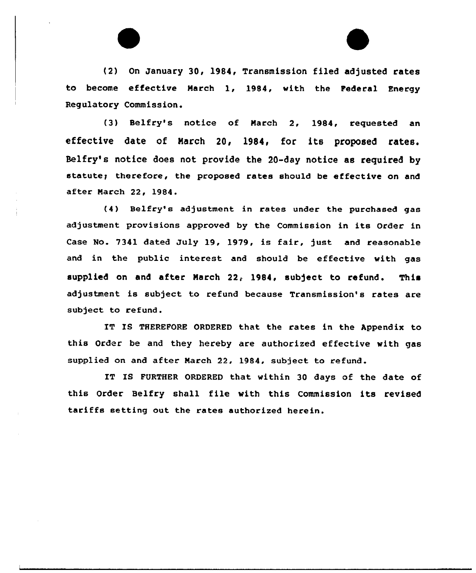(2) On January 30, 1984, Transmission filed adjusted rates to become effective March 1, 1984, with the Pederal Energy Regulatory Commission.

(3) Belfry's notice of March 2, 1984, requested an effective date of March 20, 1984, for its proposed rates. Belfry's notice does not provide the 20-day notice as required by statute; therefore, the proposed rates should be effective on and after Narch 22, 1984.

(4) Belfry's adjustment in rates under the purchased gas adjustment provisions approved by the Commission in its Order in Case No. 7341 dated July 19, 1979, is fair, just and reasonable and in the public interest and should be effective with gas supplied on and after March  $22<sub>r</sub>$  1984, subject to refund. This adjustment is subject to refund because Transmission's rates are subject to refund.

IT IS THEREPORE ORDERED that the rates in the Appendix to this Order be and they hereby are authorized effective with gas supplied on and after Narch 22, 1984, subject to refund.

IT IS PURTHER ORDERED that within 30 days of the date of this Order Belfry shall file with this Commission its revised tariffs setting out the rates authorized herein.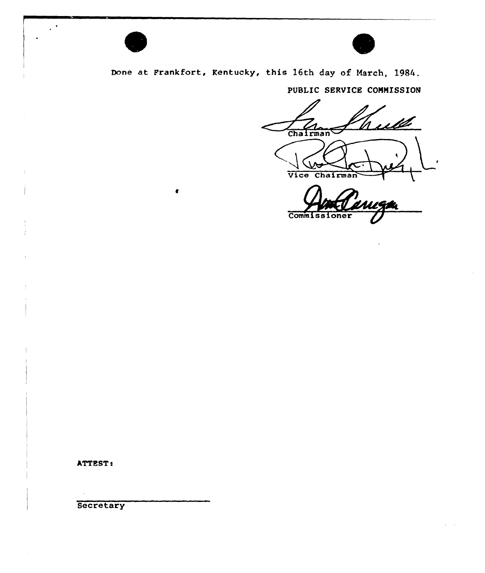

 $\bullet$ 



Done at Frankfort, Kentucky, this 16th day of March, 1984.

PUBLIC SERVICE COMMISSION

Week Chairman

Chairman

Vice

Commissi

ATTEST:

Secretary